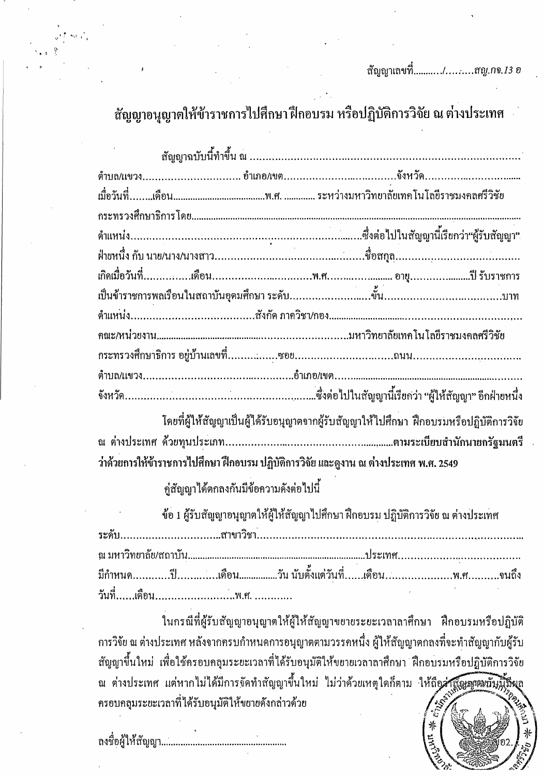สัญญาอนุญาตให้ข้าราชการไปศึกษาฝึกอบรม หรือปฏิบัติการวิจัย ณ ต่างประเทศ

| โดยที่ผู้ ขอ ส่วนอยู่<br>โดยที่ผู้ให้สักเกาเป็นผู้ได้รับจบกบาตจากผู้รับสักเกาให้ไปสี่ถนา ฝึกจบรบหรือปลิขัติการวิจัย |  |  |
|---------------------------------------------------------------------------------------------------------------------|--|--|

โดยที่ผู้ให้สัญญาเป็นผู้ได้รับอนุญาตจากผู้รับสัญญาให้ไปศึกษา ฝึกอบรมหรือปฏิบัติการวิจัย ว่าด้วยการให้ข้าราชการไปศึกษา ฝึกอบรม ปฏิบัติการวิจัย และดูงาน ณ ต่างประเทศ พ.ศ. 2549

้คู่สัญญาได้ตกลงกันมีข้อความดังต่อไปนี้

ข้อ 1 ผู้รับสัญญาอนุญาตให้ผู้ให้สัญญาไปศึกษา ฝึกอบรม ปฏิบัติการวิจัย ณ ต่างประเทศ ระดับ.. 

ในกรณีที่ผู้รับสัญญาอนุญาตให้ผู้ให้สัญญาขยายระยะเวลาลาศึกษา ฝึกอบรมหรือปฏิบัติ ึการวิจัย ณ ต่างประเทศ หลังจากครบกำหนดการอนุญาตตามวรรคหนึ่ง ผู้ให้สัญญาตกลงที่จะทำสัญญากับผู้รับ ้สัญญาขึ้นใหม่ เพื่อใช้ครอบคลุมระยะเวลาที่ได้รับอนุมัติให้ขยายเวลาลาศึกษา ฝึกอบรมหรือปฏิบัติการวิจัย ณ ต่างประเทศ แต่หากไม่ได้มีการจัดทำสัญญาขึ้นใหม่ ไม่ว่าด้วยเหตุใดก็ตาม ให้ถือส่**าสัญญาณบั**ญ ้ ครอบคลุมระยะเวลาที่ได้รับอนุมัติให้ขยายดังกล่าวด้วย

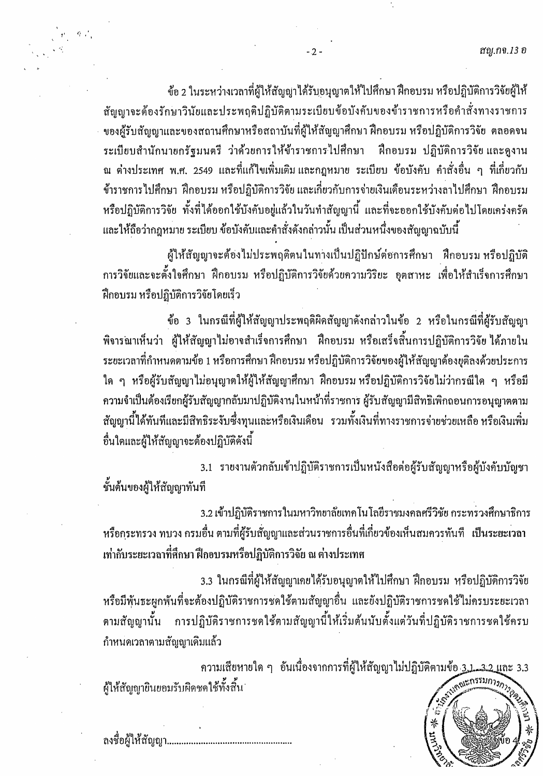้ ข้อ 2 ในระหว่างเวลาที่ผู้ให้สัญญาได้รับอนุญาตให้ไปศึกษา ฝึกอบรม หรือปฏิบัติการวิจัยผู้ให้ สัญญาจะต้องรักษาวินัยและประพฤติปฏิบัติตามระเบียบข้อบังคับของข้าราชการหรือคำสั่งทางราชการ ของผู้รับสัญญาและของสถานศึกษาหรือสถาบันที่ผู้ให้สัญญาศึกษา ฝึกอบรม หรือปฏิบัติการวิจัย ตลอดจน ระเบียบสำนักนายกรัฐมนตรี ว่าด้วยการให้ข้าราชการไปศึกษา ฝึกอบรม ปฏิบัติการวิจัย และดูงาน ิณ ต่างประเทศ พ.ศ. 2549 และที่แก้ไขเพิ่มเติมและกฎหมาย ระเบียบ ข้อบังคับ คำสั่งอื่น ๆ ที่เกี่ยวกับ ข้าราชการไปศึกษา ฝึกอบรม หรือปฏิบัติการวิจัย และเกี่ยวกับการจ่ายเงินเดือนระหว่างลาไปศึกษา ฝึกอบรม หรือปฏิบัติการวิจัย ทั้งที่ได้ออกใช้บังคับอยู่แล้วในวันทำสัญญานี้ และที่จะออกใช้บังคับต่อไปโดยเคร่งครัด และให้ถือว่ากฎหมาย ระเบียบ ข้อบังคับและคำสั่งคังกล่าวนั้น เป็นส่วนหนึ่งของสัญญาฉบับนี้

 $-2 -$ 

ผู้ให้สัญญาจะต้องไม่ประพฤติตนในทางเป็นปฏิปักษ์ต่อการศึกษา ฝึกอบรม หรือปฏิบัติ ึการวิจัยและจะตั้งใจศึกษา ฝึกอบรม หรือปฏิบัติการวิจัยด้วยความวิริยะ อุตสาหะ เพื่อให้สำเร็จการศึกษา ้ฝึกอบรม หรือปฏิบัติการวิจัยโดยเร็ว

ข้อ 3 ในกรณีที่ผู้ให้สัญญาประพฤติผิดสัญญาดังกล่าวในข้อ 2 หรือในกรณีที่ผู้รับสัญญา ี พิจารณาเห็นว่า ผู้ให้สัญญาไม่อาจสำเร็จการศึกษา ฝึกอบรม หรือเสร็จสิ้นการปฏิบัติการวิจัย ได้ภายใน ระยะเวลาที่กำหนดตามข้อ 1 หรือการศึกษา ฝึกอบรม หรือปฏิบัติการวิจัยของผู้ให้สัญญาต้องยุติลงด้วยประการ ใด ๆ หรือผู้รับสัญญาไม่อนุญาตให้ผู้ให้สัญญาศึกษา ฝึกอบรมหรือปฏิบัติการวิจัยไม่ว่ากรณีใด ๆ หรือมี ้ความจำเป็นต้องเรียกผู้รับสัญญากลับมาปฏิบัติงานในหน้าที่ราชการ ผู้รับสัญญามีสิทธิเพิกถอนการอนุญาตตาม ้สัญญานี้ได้ทันทีและมีสิทธิระงับซึ่งทุนและหรือเงินเดือน รวมทั้งเงินที่ทางราชการจ่ายช่วยเหลือ หรือเงินเพิ่ม อื่นใดและผู้ให้สัญญาจะต้องปฏิบัติดังนี้

3.1 รายงานตัวกลับเข้าปฏิบัติราชการเป็นหนังสือต่อผู้รับสัญญาหรือผู้บังคับบัญชา ชั้นต้นของผู้ให้สัญญาทันที

3.2 เข้าปฏิบัติราชการในมหาวิทยาลัยเทคโนโลยีราชมงคลศรีวิชัย กระทรวงศึกษาธิการ หรือกระทรวง ทบวง กรมอื่น ตามที่ผู้รับสัญญาและส่วนราชการอื่นที่เกี่ยวข้องเห็นสมกวรทันที เป็นระยะเวลา เท่ากับระยะเวลาที่ศึกษา ฝึกอบรมหรือปฏิบัติการวิจัย ณ ต่างประเทศ

3.3 ในกรณีที่ผู้ให้สัญญาเกยได้รับอนุญาตให้ไปศึกษา ฝึกอบรม หรือปฏิบัติการวิจัย หรือมีพันธะผูกพันที่จะต้องปฏิบัติราชการชดใช้ตามสัญญาอื่น และยังปฏิบัติราชการชดใช้ไม่ครบระยะเวลา ตามสัญญานั้น การปฏิบัติราชการชดใช้ตามสัญญานี้ให้เริ่มต้นนับตั้งแต่วันที่ปฏิบัติราชการชดใช้ครบ กำหนดเวลาตามสัญญาเดิมแล้ว

ี ความเสียหายใด ๆ อันเนื่องจากการที่ผู้ให้สัญญาไม่ปฏิบัติตามข้อ 3,1, 3,2 และ 3.3 ผู้ให้สัญญายินยอมรับผิดชดใช้ทั้งสิ้น



 $\mathcal{L}_{\mathcal{D}}$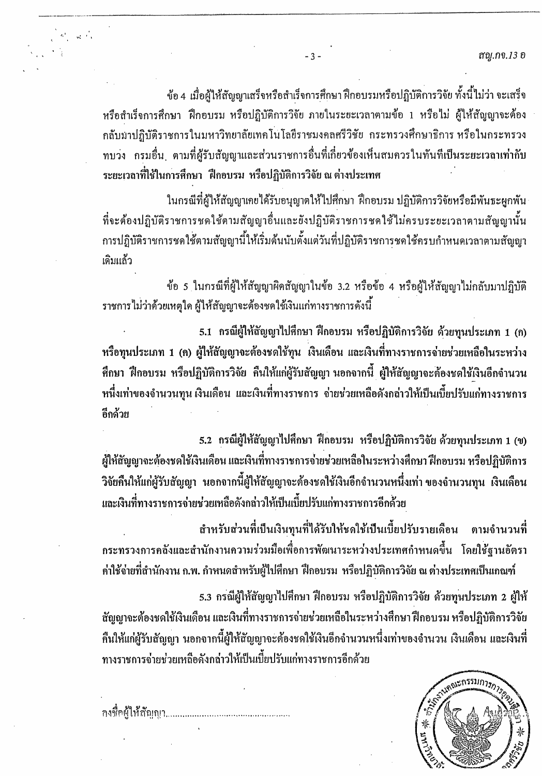สญ.กจ.13 อ

ข้อ 4 เมื่อผู้ให้สัญญาเสร็จหรือสำเร็จการศึกษา ฝึกอบรมหรือปฏิบัติการวิจัย ทั้งนี้ไม่ว่า จะเสร็จ หรือสำเร็จการศึกษา ฝึกอบรม หรือปฏิบัติการวิจัย ภายในระยะเวลาตามข้อ 1 หรือไม่ ผู้ให้สัญญาจะต้อง ึกลับมาปฏิบัติราชการในมหาวิทยาลัยเทคโนโลยีราชมงคลศรีวิชัย กระทรวงศึกษาธิการ หรือในกระทรวง ทบวง กรมอื่น ตามที่ผู้รับสัญญาและส่วนราชการอื่นที่เกี่ยวข้องเห็นสมควรในทันทีเป็นระยะเวลาเท่ากับ ระยะเวลาที่ใช้ในการศึกษา ฝึกอบรม หรือปฏิบัติการวิจัย ณ ต่างประเทศ

 $-3-$ 

ในกรณีที่ผู้ให้สัญญาเกยได้รับอนุญาตให้ไปศึกษา ฝึกอบรม ปฏิบัติการวิจัยหรือมีพันธะผูกพัน ที่จะต้องปฏิบัติราชการชดใช้ตามสัญญาอื่นและยังปฏิบัติราชการชดใช้ไม่ครบระยะเวลาตามสัญญานั้น ึการปฏิบัติราชการชดใช้ตามสัญญานี้ให้เริ่มต้นนับตั้งแต่วันที่ปฏิบัติราชการชดใช้ครบกำหนดเวลาตามสัญญา เคิมแล้ว

ข้อ 5 ในกรณีที่ผู้ให้สัญญาผิดสัญญาในข้อ 3.2 หรือข้อ 4 หรือผู้ให้สัญญาไม่กลับมาปฏิบัติ ราชการไม่ว่าด้วยเหตุใด ผู้ให้สัญญาจะต้องชดใช้เงินแก่ทางราชการคังนี้

5.1 กรณีผู้ให้สัญญาไปศึกษา ฝึกอบรม หรือปฏิบัติการวิจัย ด้วยทุนประเภท 1 (ก) หรือทุนประเภท 1 (ค) ผู้ให้สัญญาจะต้องชดใช้ทุน เงินเดือน และเงินที่ทางราชการจ่ายช่วยเหลือในระหว่าง ้ศึกษา ฝึกอบรม หรือปฏิบัติการวิจัย คืนให้แก่ผู้รับสัญญา นอกจากนี้ ผู้ให้สัญญาจะต้องชดใช้เงินอีกจำนวน หนึ่งเท่าของจำนวนทุน เงินเดือน และเงินที่ทางราชการ จ่ายช่วยเหลือดังกล่าวให้เป็นเบี้ยปรับแก่ทางราชการ อีกด้วย

5.2 กรณีผู้ให้สัญญาไปศึกษา ฝึกอบรม หรือปฏิบัติการวิจัย ด้วยทุนประเภท 1 (ข) ผู้ให้สัญญาจะต้องชดใช้เงินเดือน และเงินที่ทางราชการจ่ายช่วยเหลือในระหว่างศึกษา ฝึกอบรม หรือปฏิบัติการ ีวิจัยคืนให้แก่ผู้รับสัญญา นอกจากนี้ผู้ให้สัญญาจะต้องชดใช้เงินอีกจำนวนหนึ่งเท่า ของจำนวนทุน เงินเดือน และเงินที่ทางราชการจ่ายช่วยเหลือดังกล่าวให้เป็นเบี้ยปรับแก่ทางราชการอีกด้วย

้ สำหรับส่วนที่เป็นเงินทุนที่ได้รับให้ชดใช้เป็นเบี้ยปรับรายเดือน ตามจำนวนที่ ี กระทรวงการคลังและสำนักงานความร่วมมือเพื่อการพัฒนาระหว่างประเทศกำหนดขึ้น โดยใช้ฐานอัตรา ค่ำใช้จ่ายที่สำนักงาน ก.พ. กำหนดสำหรับผู้ไปศึกษา ฝึกอบรม หรือปฏิบัติการวิจัย ณ ต่างประเทศเป็นเกณฑ์

5.3 กรณีผู้ให้สัญญาไปคึกษา ฝึกอบรม หรือปฏิบัติการวิจัย ด้วยทุนประเภท 2 ผู้ให้ ้ สัญญาจะต้องชดใช้เงินเดือน และเงินที่ทางราชการจ่ายช่วยเหลือในระหว่างศึกษา ฝึกอบรม หรือปฏิบัติการวิจัย ้ก็นให้แก่ผู้รับสัญญา นอกจากนี้ผู้ให้สัญญาจะต้องชดใช้เงินอีกจำนวนหนึ่งเท่าของจำนวน เงินเดือน และเงินที่ ทางราชการจ่ายช่วยเหลือดังกล่าวให้เป็นเบี้ยปรับแก่ทางราชการอีกด้วย



 $\sigma^{\rm L}_{\rm eff}$  and  $\sigma^{\rm L}_{\rm eff}$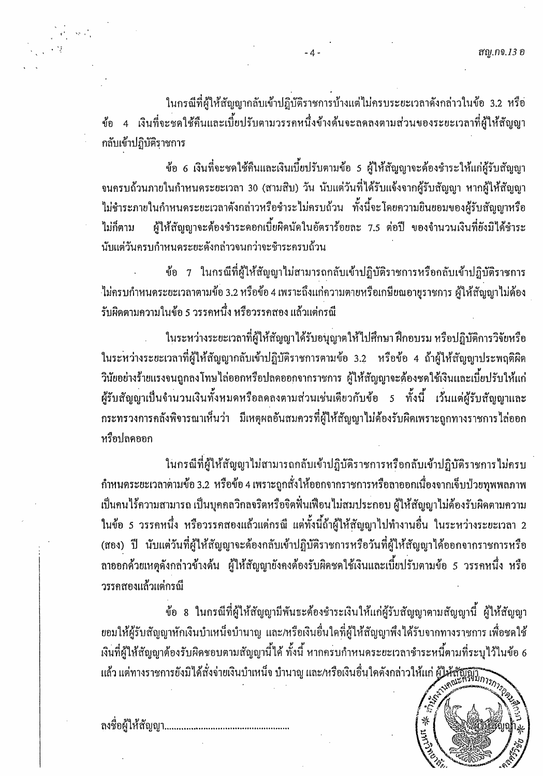ในกรณีที่ผู้ให้สัญญากลับเข้าปฏิบัติราชการบ้างแต่ไม่ครบระยะเวลาดังกล่าวในข้อ 3.2 หรือ ข้อ 4 เงินที่จะชดใช้คืนและเบี้ยปรับตามวรรคหนึ่งข้างต้นจะลดลงตามส่วนของระยะเวลาที่ผู้ให้สัญญา กลับเข้าปฏิบัติราชการ

 $-4.$ 

ข้อ 6 เงินที่จะชดใช้คืนและเงินเบี้ยปรับตามข้อ 5 ผู้ให้สัญญาจะต้องชำระให้แก่ผู้รับสัญญา จนครบถ้วนภายในกำหนคระยะเวลา 30 (สามสิบ) วัน นับแต่วันที่ได้รับแจ้งจากผู้รับสัญญา หากผู้ให้สัญญา ไม่ชำระภายในกำหนดระยะเวลาคังกล่าวหรือชำระไม่ครบถ้วน ทั้งนี้จะโดยความยินยอมของผู้รับสัญญาหรือ ผู้ให้สัญญาจะต้องชำระดอกเบี้ยผิดนัดในอัตราร้อยละ 7.5 ต่อปี ของจำนวนเงินที่ยังมิได้ชำระ ไม่กี่ตาม นับแต่วันครบกำหนดระยะดังกล่าวจนกว่าจะชีวระครบถ้วน

ข้อ 7 ในกรณีที่ผู้ให้สัญญาไม่สามารถกลับเข้าปฏิบัติราชการหรือกลับเข้าปฏิบัติราชการ ไม่ครบกำหนดระยะเวลาตามข้อ 3.2 หรือข้อ 4 เพราะถึงแก่ความตายหรือเกษียณอายุราชการ ผู้ให้สัญญาไม่ต้อง รับผิดตามความในข้อ 5 วรรคหนึ่ง หรือวรรคสอง แล้วแต่กรณี

ในระหว่างระยะเวลาที่ผู้ให้สัญญาได้รับอนุญาตให้ไปศึกษา ฝึกอบรม หรือปฏิบัติการวิจัยหรือ ในระหว่างระยะเวลาที่ผู้ให้สัญญากลับเข้าปฏิบัติราชการตามข้อ 3.2 หรือข้อ 4 ถ้าผู้ให้สัญญาประพฤติผิด ้วินัยอย่างร้ายแรงจนถูกลงโทษไล่ออกหรือปลดออกจากราชการ ผู้ให้สัญญาจะต้องชดใช้เงินและเบี้ยปรับให้แก่ ผู้รับสัญญาเป็นจำนวนเงินทั้งหมดหรือลดลงตามส่วนเช่นเดียวกับข้อ 5 ทั้งนี้ เว้นแต่ผู้รับสัญญาและ ึกระทรวงการคลังพิจารณาเห็นว่า มีเหตุผลอันสมควรที่ผู้ให้สัญญาไม่ต้องรับผิดเพราะถูกทางราชการไล่ออก หรือปลดออก

ในกรณีที่ผู้ให้สัญญาไม่สามารถกลับเข้าปฏิบัติราชการหรือกลับเข้าปฏิบัติราชการไม่ครบ กำหนดระยะเวลาตามข้อ 3.2 หรือข้อ 4 เพราะถูกสั่งให้ออกจากราชการหรือลาออกเนื่องจากเจ็บป่วยทุพพลภาพ เป็นคนไร้ความสามารถ เป็นบุคคลวิกลจริตหรือจิตฟั่นเฟือนไม่สมประกอบ ผู้ให้สัญญาไม่ต้องรับผิดตามความ ในข้อ 5 วรรคหนึ่ง หรือวรรคสองแล้วแต่กรณี แต่ทั้งนี้ถ้าผู้ให้สัญญาไปทำงานอื่น ในระหว่างระยะเวลา 2 (สอง) ปี นับแต่วันที่ผู้ให้สัญญาจะด้องกลับเข้าปฏิบัติราชการหรือวันที่ผู้ให้สัญญาได้ออกจากราชการหรือ ลาออกค้วยเหตุดังกล่าวข้างต้น ผู้ให้สัญญายังคงต้องรับผิดชดใช้เงินและเบี้ยปรับตามข้อ 5 วรรคหนึ่ง หรือ ำรรคสองแล้วแต่กรณี

ข้อ 8 ในกรณีที่ผู้ให้สัญญามีพันธะต้องชำระเงินให้แก่ผู้รับสัญญาตามสัญญานี้ ผู้ให้สัญญา ยอมให้ผู้รับสัญญาหักเงินบำเหน็จบำนาญ และ/หรือเงินอื่นใดที่ผู้ให้สัญญาพึงได้รับจากทางราชการ เพื่อชดใช้ เงินที่ผู้ให้สัญญาต้องรับผิดชอบตามสัญญานี้ได้ ทั้งนี้ หากครบกำหนดระยะเวลาชำระหนี้ตามที่ระบุไว้ในข้อ 6 เงนทผู เหลญญ เพยงวบคุกขอบการจะระการกาย<br>แล้ว แต่ทางราชการยังมิได้สั่งจ่ายเงินบำเหน็จ บำนาญ และ/หรือเงินอื่นใดดังกล่าวให้แก่ ผู้ให้สัญญัติขึ้นก*ารการ* 



ลงชื่อผู้ให้สัญญา............................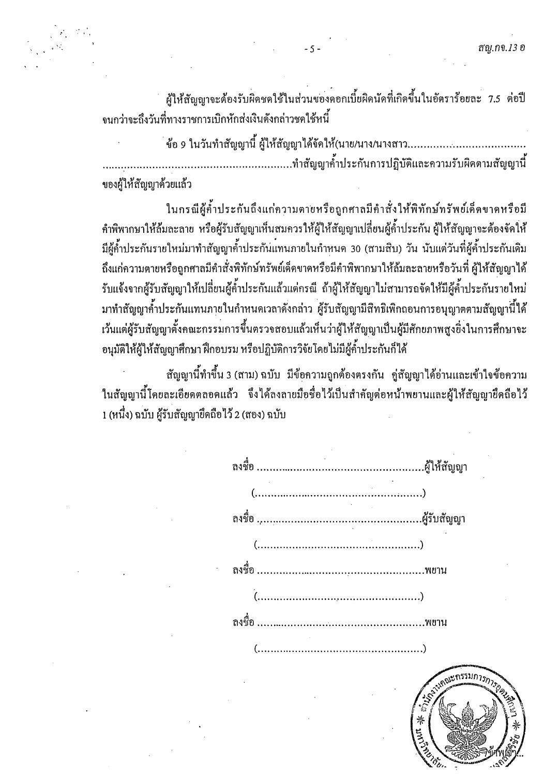ผู้ให้สัญญาจะต้องรับผิดชดใช้ในส่วนของคอกเบี้ยผิดนัดที่เกิดขึ้นในอัตราร้อยละ 7.5 ต่อปี ึ่งนกว่าจะถึงวันที่ทางราชการเบิกหักส่งเงินดังกล่าวชดใช้หนี้

 $-5 -$ 

ของผู้ให้สัญญาด้วยแล้ว

ในกรณีผู้ค้ำประกันถึงแก่ความตายหรือถูกศาลมีคำสั่งให้พิทักษ์ทรัพย์เด็ดขาดหรือมี ้ คำพิพากษาให้ล้มละลาย หรือผู้รับสัญญาเห็นสมควรให้ผู้ให้สัญญาเปลี่ยนผู้ค้ำประกัน ผู้ให้สัญญาจะต้องจัดให้ ้มีผู้ค้ำประกันรายใหม่มาทำสัญญาค้ำประกันแทนภายในกำหนด 30 (สามสิบ) วัน นับแต่วันที่ผู้ค้ำประกันเดิม ้ถึงแก่ความตายหรือถูกศาลมีคำสั่งพิทักษ์ทรัพย์เด็ดขาดหรือมีคำพิพากษาให้ล้มละลายหรือวันที่ ผู้ให้สัญญาได้ ้รับแจ้งจากผู้รับสัญญาให้เปลี่ยนผู้ค้ำประกันแล้วแต่กรณี ถ้าผู้ให้สัญญาไม่สามารถจัดให้มีผู้ค้ำประกันรายใหม่ ้มาทำสัญญาค้ำประกันแทนภายในกำหนดเวลาดังกล่าว ผู้รับสัญญามีสิทธิเพิกถอนการอนุญาตตามสัญญานี้ได้ เว้นแต่ผู้รับสัญญาตั้งคณะกรรมการขึ้นตรวจสอบแล้วเห็นว่าผู้ให้สัญญาเป็นผู้มีศักยภาพสูงยิ่งในการศึกษาจะ ้อนุมัติให้ผู้ให้สัญญาศึกษา ฝึกอบรม หรือปฏิบัติการวิจัยโดยไม่มีผู้ค้ำประกันก็ได้

ี สัญญานี้ทำขึ้น 3 (สาม) ฉบับ มีข้อความถูกต้องตรงกัน คู่สัญญาได้อ่านและเข้าใจข้อความ ในสัญญานี้โดยละเอียดตลอดแล้ว จึงได้ลงลายมือชื่อไว้เป็นสำคัญต่อหน้าพยานและผู้ให้สัญญายึดถือไว้ 1 (หนึ่ง) ฉบับ ผู้รับสัญญายึดถือไว้ 2 (สอง) ฉบับ



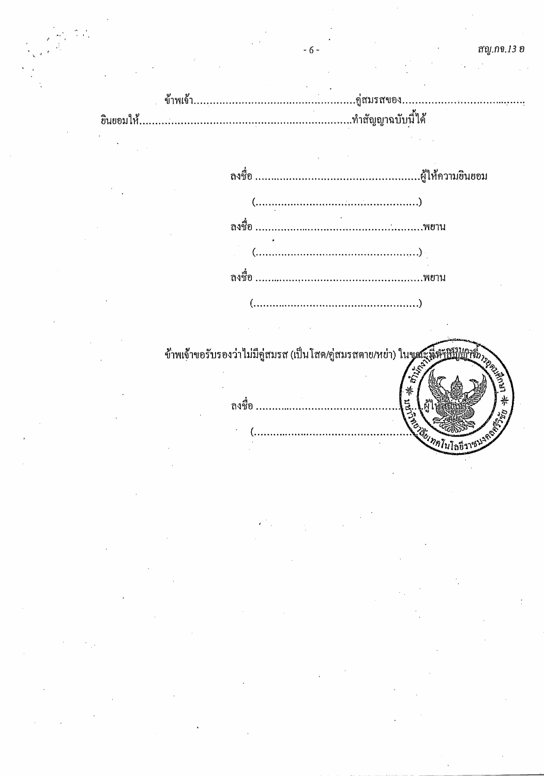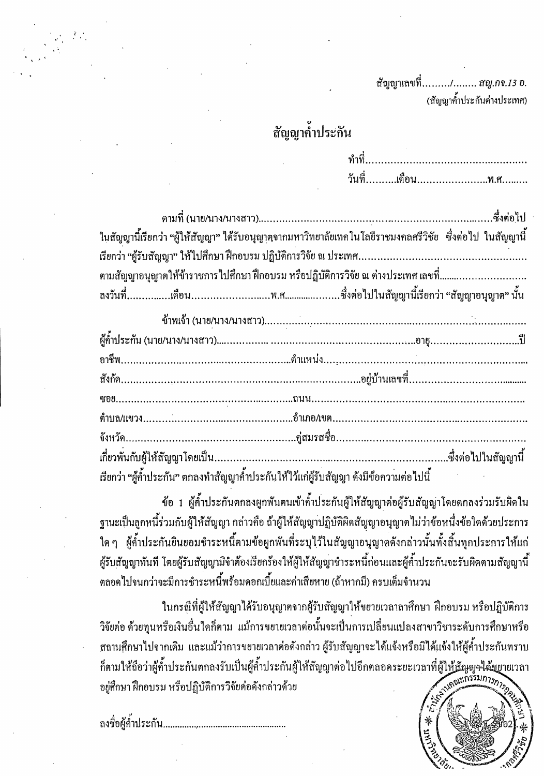ี สัญญาเลขที่........./........ ส*ญ.กจ.13 อ*. (สัญญาค้ำประกันต่างประเทศ)

## สัญญาค้ำประกัน

|                                                                                   | ในสัญญานี้เรียกว่า "ผู้ให้สัญญา" ได้รับอนุญาตจากมหาวิทยาลัยเทคโนโลยีราชมงคลศรีวิชัย  ซึ่งต่อไป ในสัญญานี้ |  |  |  |  |
|-----------------------------------------------------------------------------------|-----------------------------------------------------------------------------------------------------------|--|--|--|--|
|                                                                                   |                                                                                                           |  |  |  |  |
| ตามสัญญาอนุญาตให้ข้าราชการไปศึกษา ฝึกอบรม หรือปฏิบัติการวิจัย ณ ต่างประเทศ เลขที่ |                                                                                                           |  |  |  |  |
|                                                                                   |                                                                                                           |  |  |  |  |

| เรียกว่า "ผู้ค้ำประกัน" ตกลงทำสัญญาค้ำประกันให้ไว้แก่ผู้รับสัญญา ดังมีข้อความต่อไปนี้ |  |
|---------------------------------------------------------------------------------------|--|

ข้อ 1 ผู้ค้ำประกันตกลงผูกพันตนเข้าค้ำประกันผู้ให้สัญญาต่อผู้รับสัญญาโดยตกลงร่วมรับผิดใน ฐานะเป็นลูกหนี้ร่วมกับผู้ให้สัญญา กล่าวกือ ถ้าผู้ให้สัญญาปฏิบัติผิดสัญญาอนุญาตไม่ว่าข้อหนึ่งข้อใดด้วยประการ ใด ๆ ผู้ค้ำประกันยินยอมชำระหนี้ตามข้อผูกพันที่ระบุไว้ในสัญญาอนุญาตดังกล่าวนั้นทั้งสิ้นทุกประการให้แก่ ผู้รับสัญญาทันที โดยผู้รับสัญญามิจำต้องเรียกร้องให้ผู้ให้สัญญาชำระหนี้ก่อนและผู้ค้ำประกันจะรับผิดตามสัญญานี้ ตลอดไปจนกว่าจะมีการชำระหนี้พร้อมดอกเบี้ยและค่าเสียหาย (ถ้าหากมี) ครบเต็มจำนวน

ในกรณีที่ผู้ให้สัญญาได้รับอนุญาตจากผู้รับสัญญาให้ขยายเวลาลาศึกษา ฝึกอบรม หรือปฏิบัติการ วิจัยต่อ ด้วยทุนหรือเงินอื่นใดก็ตาม แม้การขยายเวลาต่อนั้นจะเป็นการเปลี่ยนแปลงสาขาวิชาระดับการศึกษาหรือ ิสถานศึกษาไปจากเดิม และแม้ว่าการขยายเวลาต่อดังกล่าว ผู้รับสัญญาจะได้แจ้งหรือมิได้แจ้งให้ผู้ค้ำประกันทราบ ้ก็ตามให้ถือว่าผู้ก้ำประกันตกลงรับเป็นผู้ก้ำประกันผู้ให้สัญญาต่อไปอีกตลอดระยะเวลาที่ผู้ใ<u>ห้สัญ</u>ญจ<sup>ู</sup>่ได้มยายเวลา อยู่ศึกษา ฝึกอบรม หรือปฏิบัติการวิจัยต่อดังกล่าวด้วย